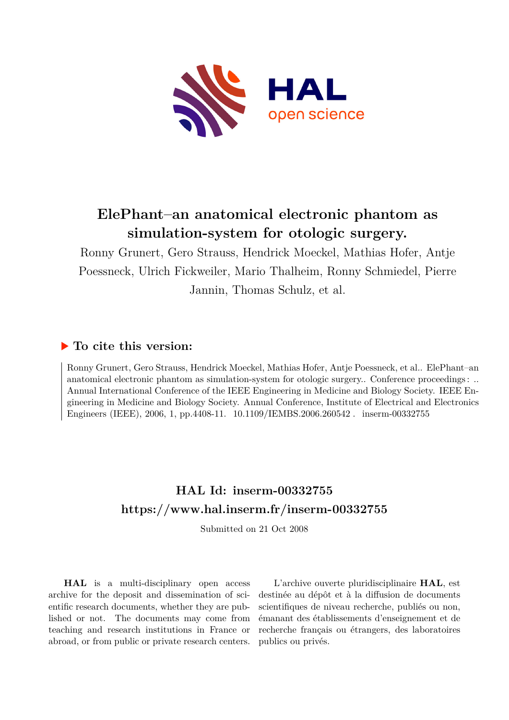

# **ElePhant–an anatomical electronic phantom as simulation-system for otologic surgery.**

Ronny Grunert, Gero Strauss, Hendrick Moeckel, Mathias Hofer, Antje Poessneck, Ulrich Fickweiler, Mario Thalheim, Ronny Schmiedel, Pierre Jannin, Thomas Schulz, et al.

# **To cite this version:**

Ronny Grunert, Gero Strauss, Hendrick Moeckel, Mathias Hofer, Antje Poessneck, et al.. ElePhant–an anatomical electronic phantom as simulation-system for otologic surgery.. Conference proceedings : .. Annual International Conference of the IEEE Engineering in Medicine and Biology Society. IEEE Engineering in Medicine and Biology Society. Annual Conference, Institute of Electrical and Electronics Engineers (IEEE), 2006, 1, pp.4408-11.  $10.1109$ /IEMBS.2006.260542. inserm-00332755

# **HAL Id: inserm-00332755 <https://www.hal.inserm.fr/inserm-00332755>**

Submitted on 21 Oct 2008

**HAL** is a multi-disciplinary open access archive for the deposit and dissemination of scientific research documents, whether they are published or not. The documents may come from teaching and research institutions in France or abroad, or from public or private research centers.

L'archive ouverte pluridisciplinaire **HAL**, est destinée au dépôt et à la diffusion de documents scientifiques de niveau recherche, publiés ou non, émanant des établissements d'enseignement et de recherche français ou étrangers, des laboratoires publics ou privés.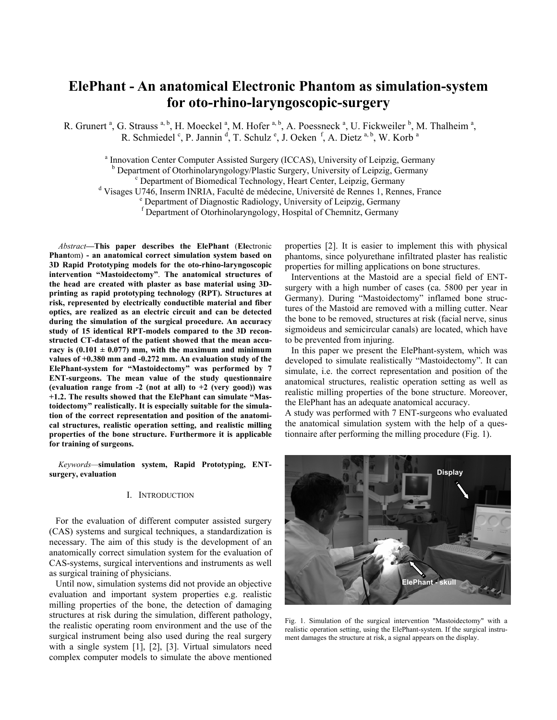# **ElePhant - An anatomical Electronic Phantom as simulation-system for oto-rhino-laryngoscopic-surgery**

R. Grunert<sup>a</sup>, G. Strauss<sup>a, b</sup>, H. Moeckel<sup>a</sup>, M. Hofer<sup>a, b</sup>, A. Poessneck<sup>a</sup>, U. Fickweiler<sup>b</sup>, M. Thalheim<sup>a</sup>, R. Schmiedel<sup>c</sup>, P. Jannin<sup>d</sup>, T. Schulz<sup>e</sup>, J. Oeken<sup>f</sup>, A. Dietz<sup>a, b</sup>, W. Korb<sup>a</sup>

<sup>a</sup> Innovation Center Computer Assisted Surgery (ICCAS), University of Leipzig, Germany <sup>b</sup> Department of Otorhinolaryngology/Plastic Surgery, University of Leipzig, Germany Department of Biomedical Technology, Heart Center, Leipzig, Germany

<sup>d</sup> Visages U746, Inserm INRIA, Faculté de médecine, Université de Rennes 1, Rennes, France

Department of Diagnostic Radiology, University of Leipzig, Germany

f Department of Otorhinolaryngology, Hospital of Chemnitz, Germany

*Abstract***—This paper describes the ElePhant** (**Ele**ctronic **Phant**om) **- an anatomical correct simulation system based on 3D Rapid Prototyping models for the oto-rhino-laryngoscopic intervention "Mastoidectomy"**. **The anatomical structures of the head are created with plaster as base material using 3Dprinting as rapid prototyping technology (RPT). Structures at risk, represented by electrically conductible material and fiber optics, are realized as an electric circuit and can be detected during the simulation of the surgical procedure. An accuracy study of 15 identical RPT-models compared to the 3D reconstructed CT-dataset of the patient showed that the mean accu**racy is  $(0.101 \pm 0.077)$  mm, with the maximum and minimum **values of +0.380 mm and -0.272 mm. An evaluation study of the ElePhant-system for "Mastoidectomy" was performed by 7 ENT-surgeons. The mean value of the study questionnaire (evaluation range from -2 (not at all) to +2 (very good)) was +1.2. The results showed that the ElePhant can simulate "Mastoidectomy" realistically. It is especially suitable for the simulation of the correct representation and position of the anatomical structures, realistic operation setting, and realistic milling properties of the bone structure. Furthermore it is applicable for training of surgeons.** 

*Keywords—***simulation system, Rapid Prototyping, ENTsurgery, evaluation** 

## I. INTRODUCTION

For the evaluation of different computer assisted surgery (CAS) systems and surgical techniques, a standardization is necessary. The aim of this study is the development of an anatomically correct simulation system for the evaluation of CAS-systems, surgical interventions and instruments as well as surgical training of physicians.

Until now, simulation systems did not provide an objective evaluation and important system properties e.g. realistic milling properties of the bone, the detection of damaging structures at risk during the simulation, different pathology, the realistic operating room environment and the use of the surgical instrument being also used during the real surgery with a single system [1], [2], [3]. Virtual simulators need complex computer models to simulate the above mentioned properties [2]. It is easier to implement this with physical phantoms, since polyurethane infiltrated plaster has realistic properties for milling applications on bone structures.

Interventions at the Mastoid are a special field of ENTsurgery with a high number of cases (ca. 5800 per year in Germany). During "Mastoidectomy" inflamed bone structures of the Mastoid are removed with a milling cutter. Near the bone to be removed, structures at risk (facial nerve, sinus sigmoideus and semicircular canals) are located, which have to be prevented from injuring.

In this paper we present the ElePhant-system, which was developed to simulate realistically "Mastoidectomy". It can simulate, i.e. the correct representation and position of the anatomical structures, realistic operation setting as well as realistic milling properties of the bone structure. Moreover, the ElePhant has an adequate anatomical accuracy.

A study was performed with 7 ENT-surgeons who evaluated the anatomical simulation system with the help of a questionnaire after performing the milling procedure (Fig. 1).



Fig. 1. Simulation of the surgical intervention "Mastoidectomy" with a realistic operation setting, using the ElePhant-system. If the surgical instrument damages the structure at risk, a signal appears on the display.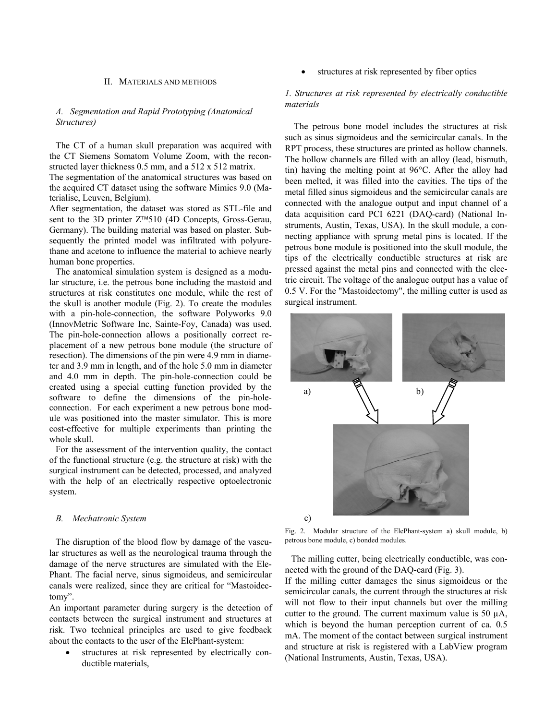#### II. MATERIALS AND METHODS

# *A. Segmentation and Rapid Prototyping (Anatomical Structures)*

The CT of a human skull preparation was acquired with the CT Siemens Somatom Volume Zoom, with the reconstructed layer thickness 0.5 mm, and a 512 x 512 matrix.

The segmentation of the anatomical structures was based on the acquired CT dataset using the software Mimics 9.0 (Materialise, Leuven, Belgium).

After segmentation, the dataset was stored as STL-file and sent to the 3D printer Z™510 (4D Concepts, Gross-Gerau, Germany). The building material was based on plaster. Subsequently the printed model was infiltrated with polyurethane and acetone to influence the material to achieve nearly human bone properties.

The anatomical simulation system is designed as a modular structure, i.e. the petrous bone including the mastoid and structures at risk constitutes one module, while the rest of the skull is another module (Fig. 2). To create the modules with a pin-hole-connection, the software Polyworks 9.0 (InnovMetric Software Inc, Sainte-Foy, Canada) was used. The pin-hole-connection allows a positionally correct replacement of a new petrous bone module (the structure of resection). The dimensions of the pin were 4.9 mm in diameter and 3.9 mm in length, and of the hole 5.0 mm in diameter and 4.0 mm in depth. The pin-hole-connection could be created using a special cutting function provided by the software to define the dimensions of the pin-holeconnection. For each experiment a new petrous bone module was positioned into the master simulator. This is more cost-effective for multiple experiments than printing the whole skull.

For the assessment of the intervention quality, the contact of the functional structure (e.g. the structure at risk) with the surgical instrument can be detected, processed, and analyzed with the help of an electrically respective optoelectronic system.

#### *B. Mechatronic System*

The disruption of the blood flow by damage of the vascular structures as well as the neurological trauma through the damage of the nerve structures are simulated with the Ele-Phant. The facial nerve, sinus sigmoideus, and semicircular canals were realized, since they are critical for "Mastoidectomy".

An important parameter during surgery is the detection of contacts between the surgical instrument and structures at risk. Two technical principles are used to give feedback about the contacts to the user of the ElePhant-system:

structures at risk represented by electrically conductible materials,

structures at risk represented by fiber optics

# *1. Structures at risk represented by electrically conductible materials*

The petrous bone model includes the structures at risk such as sinus sigmoideus and the semicircular canals. In the RPT process, these structures are printed as hollow channels. The hollow channels are filled with an alloy (lead, bismuth, tin) having the melting point at 96°C. After the alloy had been melted, it was filled into the cavities. The tips of the metal filled sinus sigmoideus and the semicircular canals are connected with the analogue output and input channel of a data acquisition card PCI 6221 (DAQ-card) (National Instruments, Austin, Texas, USA). In the skull module, a connecting appliance with sprung metal pins is located. If the petrous bone module is positioned into the skull module, the tips of the electrically conductible structures at risk are pressed against the metal pins and connected with the electric circuit. The voltage of the analogue output has a value of 0.5 V. For the "Mastoidectomy", the milling cutter is used as surgical instrument.



Fig. 2. Modular structure of the ElePhant-system a) skull module, b) petrous bone module, c) bonded modules.

The milling cutter, being electrically conductible, was connected with the ground of the DAQ-card (Fig. 3).

If the milling cutter damages the sinus sigmoideus or the semicircular canals, the current through the structures at risk will not flow to their input channels but over the milling cutter to the ground. The current maximum value is 50  $\mu$ A, which is beyond the human perception current of ca. 0.5 mA. The moment of the contact between surgical instrument and structure at risk is registered with a LabView program (National Instruments, Austin, Texas, USA).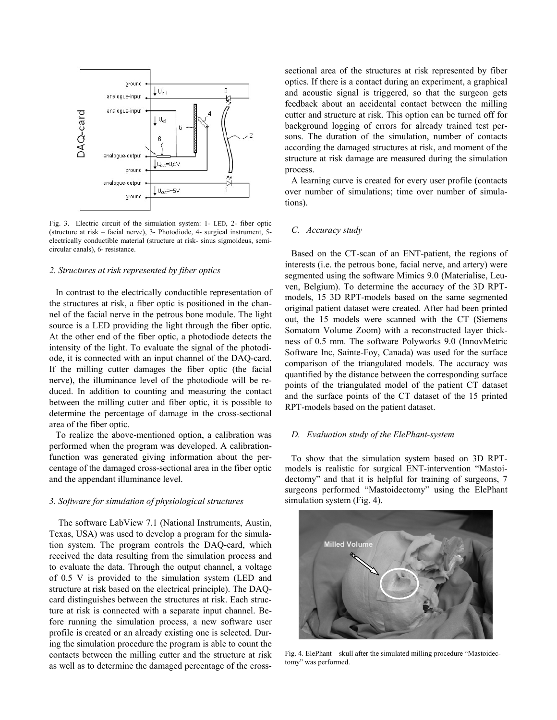

Fig. 3. Electric circuit of the simulation system: 1- LED, 2- fiber optic (structure at risk – facial nerve), 3- Photodiode, 4- surgical instrument, 5 electrically conductible material (structure at risk- sinus sigmoideus, semicircular canals), 6- resistance.

#### *2. Structures at risk represented by fiber optics*

In contrast to the electrically conductible representation of the structures at risk, a fiber optic is positioned in the channel of the facial nerve in the petrous bone module. The light source is a LED providing the light through the fiber optic. At the other end of the fiber optic, a photodiode detects the intensity of the light. To evaluate the signal of the photodiode, it is connected with an input channel of the DAQ-card. If the milling cutter damages the fiber optic (the facial nerve), the illuminance level of the photodiode will be reduced. In addition to counting and measuring the contact between the milling cutter and fiber optic, it is possible to determine the percentage of damage in the cross-sectional area of the fiber optic.

To realize the above-mentioned option, a calibration was performed when the program was developed. A calibrationfunction was generated giving information about the percentage of the damaged cross-sectional area in the fiber optic and the appendant illuminance level.

#### *3. Software for simulation of physiological structures*

The software LabView 7.1 (National Instruments, Austin, Texas, USA) was used to develop a program for the simulation system. The program controls the DAQ-card, which received the data resulting from the simulation process and to evaluate the data. Through the output channel, a voltage of 0.5 V is provided to the simulation system (LED and structure at risk based on the electrical principle). The DAQcard distinguishes between the structures at risk. Each structure at risk is connected with a separate input channel. Before running the simulation process, a new software user profile is created or an already existing one is selected. During the simulation procedure the program is able to count the contacts between the milling cutter and the structure at risk as well as to determine the damaged percentage of the crosssectional area of the structures at risk represented by fiber optics. If there is a contact during an experiment, a graphical and acoustic signal is triggered, so that the surgeon gets feedback about an accidental contact between the milling cutter and structure at risk. This option can be turned off for background logging of errors for already trained test persons. The duration of the simulation, number of contacts according the damaged structures at risk, and moment of the structure at risk damage are measured during the simulation process.

A learning curve is created for every user profile (contacts over number of simulations; time over number of simulations).

## *C. Accuracy study*

Based on the CT-scan of an ENT-patient, the regions of interests (i.e. the petrous bone, facial nerve, and artery) were segmented using the software Mimics 9.0 (Materialise, Leuven, Belgium). To determine the accuracy of the 3D RPTmodels, 15 3D RPT-models based on the same segmented original patient dataset were created. After had been printed out, the 15 models were scanned with the CT (Siemens Somatom Volume Zoom) with a reconstructed layer thickness of 0.5 mm. The software Polyworks 9.0 (InnovMetric Software Inc, Sainte-Foy, Canada) was used for the surface comparison of the triangulated models. The accuracy was quantified by the distance between the corresponding surface points of the triangulated model of the patient CT dataset and the surface points of the CT dataset of the 15 printed RPT-models based on the patient dataset.

## *D. Evaluation study of the ElePhant-system*

To show that the simulation system based on 3D RPTmodels is realistic for surgical ENT-intervention "Mastoidectomy" and that it is helpful for training of surgeons, 7 surgeons performed "Mastoidectomy" using the ElePhant simulation system (Fig. 4).



Fig. 4. ElePhant – skull after the simulated milling procedure "Mastoidectomy" was performed.